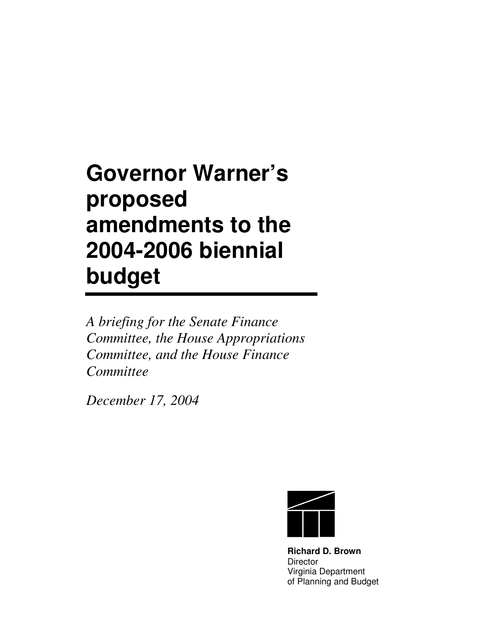# **Governor Warner's proposed amendments to the 2004-2006 biennial budget**

*A briefing for the Senate Finance Committee, the House Appropriations Committee, and the House Finance Committee*

*December 17, 2004*



**Richard D. Brown Director** Virginia Department of Planning and Budget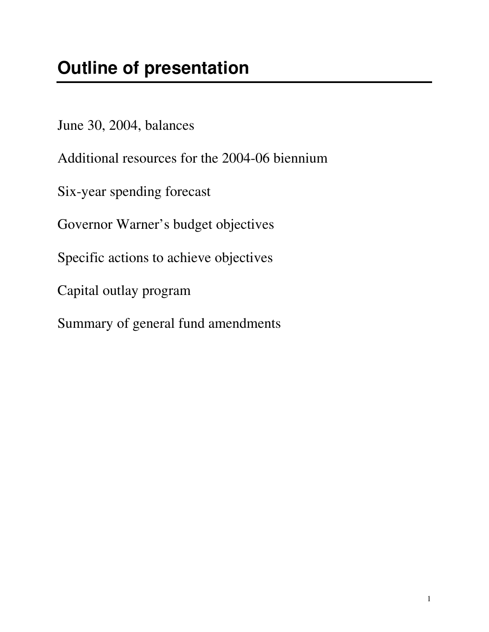June 30, 2004, balances

Additional resources for the 2004-06 biennium

Six-year spending forecast

Governor Warner's budget objectives

Specific actions to achieve objectives

Capital outlay program

Summary of general fund amendments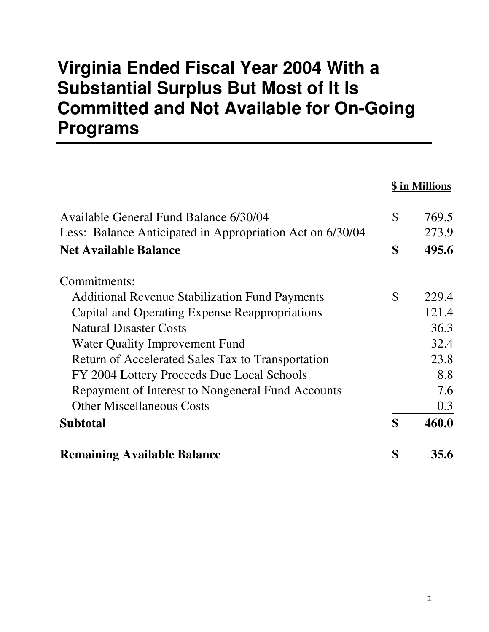### **Virginia Ended Fiscal Year 2004 With a Substantial Surplus But Most of It Is Committed and Not Available for On-Going Programs**

| Available General Fund Balance 6/30/04                    |               | \$ in Millions |  |
|-----------------------------------------------------------|---------------|----------------|--|
|                                                           |               | 769.5          |  |
| Less: Balance Anticipated in Appropriation Act on 6/30/04 |               | 273.9          |  |
| <b>Net Available Balance</b>                              |               | 495.6          |  |
| Commitments:                                              |               |                |  |
| <b>Additional Revenue Stabilization Fund Payments</b>     | $\mathcal{S}$ | 229.4          |  |
| Capital and Operating Expense Reappropriations            |               | 121.4          |  |
| <b>Natural Disaster Costs</b>                             |               | 36.3           |  |
| Water Quality Improvement Fund                            |               | 32.4           |  |
| Return of Accelerated Sales Tax to Transportation         |               | 23.8           |  |
| FY 2004 Lottery Proceeds Due Local Schools                |               | 8.8            |  |
| Repayment of Interest to Nongeneral Fund Accounts         |               | 7.6            |  |
| <b>Other Miscellaneous Costs</b>                          |               | 0.3            |  |
| <b>Subtotal</b>                                           | \$            | 460.0          |  |
| <b>Remaining Available Balance</b>                        | \$            | 35.6           |  |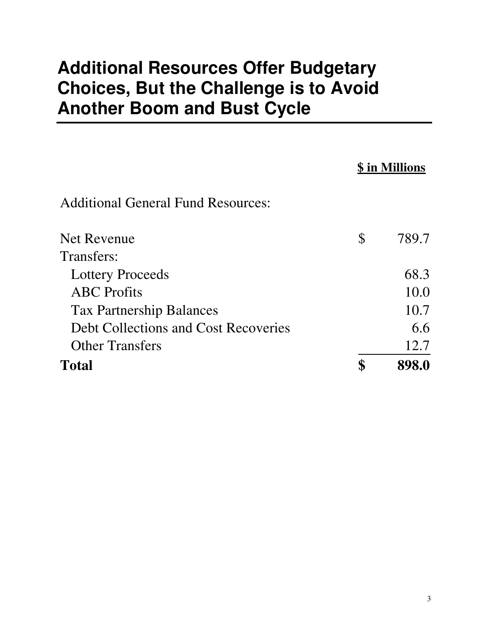### **Additional Resources Offer Budgetary Choices, But the Challenge is to Avoid Another Boom and Bust Cycle**

|                                           | \$ in Millions |       |
|-------------------------------------------|----------------|-------|
| <b>Additional General Fund Resources:</b> |                |       |
| <b>Net Revenue</b>                        | S              | 789.7 |
| Transfers:                                |                |       |
| <b>Lottery Proceeds</b>                   |                | 68.3  |
| <b>ABC</b> Profits                        |                | 10.0  |
| <b>Tax Partnership Balances</b>           |                | 10.7  |
| Debt Collections and Cost Recoveries      |                | 6.6   |
| <b>Other Transfers</b>                    |                | 12.7  |
| <b>Total</b>                              |                |       |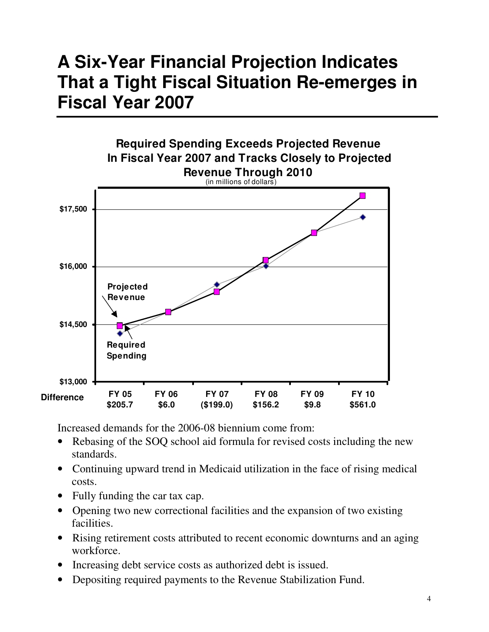### **A Six-Year Financial Projection Indicates That a Tight Fiscal Situation Re-emerges in Fiscal Year 2007**



Increased demands for the 2006-08 biennium come from:

- Rebasing of the SOQ school aid formula for revised costs including the new standards.
- Continuing upward trend in Medicaid utilization in the face of rising medical costs.
- Fully funding the car tax cap.
- Opening two new correctional facilities and the expansion of two existing facilities.
- Rising retirement costs attributed to recent economic downturns and an aging workforce.
- Increasing debt service costs as authorized debt is issued.
- Depositing required payments to the Revenue Stabilization Fund.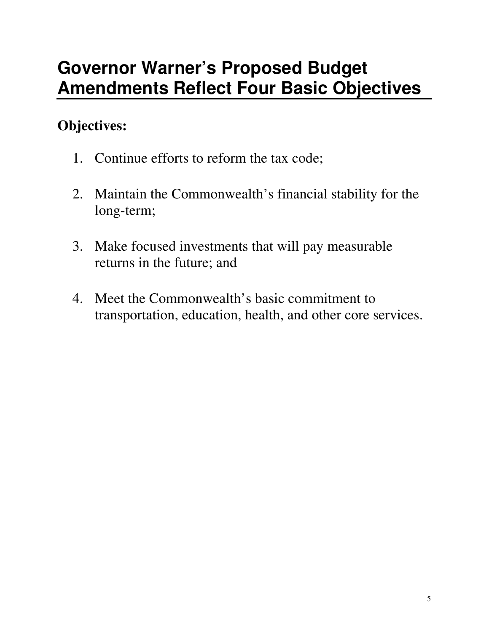# **Governor Warner's Proposed Budget Amendments Reflect Four Basic Objectives**

### **Objectives:**

- 1. Continue efforts to reform the tax code;
- 2. Maintain the Commonwealth's financial stability for the long-term;
- 3. Make focused investments that will pay measurable returns in the future; and
- 4. Meet the Commonwealth's basic commitment to transportation, education, health, and other core services.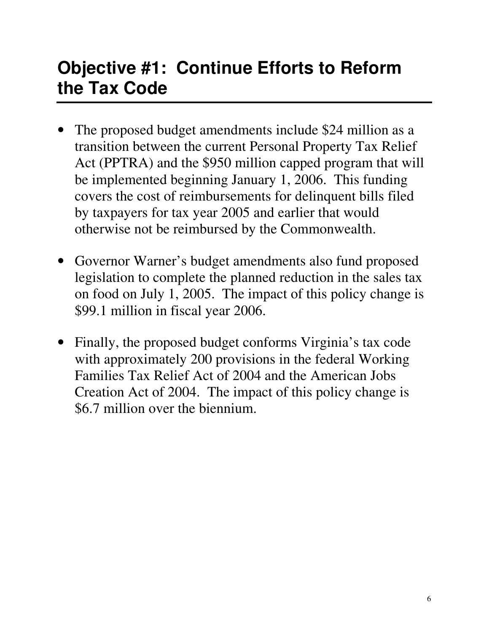# **Objective #1: Continue Efforts to Reform the Tax Code**

- The proposed budget amendments include \$24 million as a transition between the current Personal Property Tax Relief Act (PPTRA) and the \$950 million capped program that will be implemented beginning January 1, 2006. This funding covers the cost of reimbursements for delinquent bills filed by taxpayers for tax year 2005 and earlier that would otherwise not be reimbursed by the Commonwealth.
- Governor Warner's budget amendments also fund proposed legislation to complete the planned reduction in the sales tax on food on July 1, 2005. The impact of this policy change is \$99.1 million in fiscal year 2006.
- Finally, the proposed budget conforms Virginia's tax code with approximately 200 provisions in the federal Working Families Tax Relief Act of 2004 and the American Jobs Creation Act of 2004. The impact of this policy change is \$6.7 million over the biennium.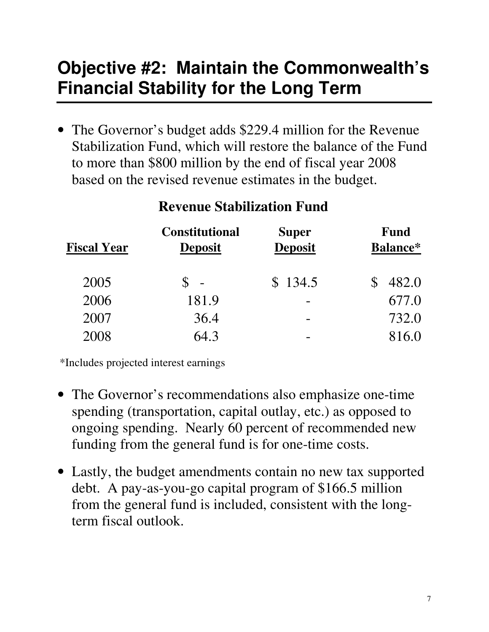# **Objective #2: Maintain the Commonwealth's Financial Stability for the Long Term**

• The Governor's budget adds \$229.4 million for the Revenue Stabilization Fund, which will restore the balance of the Fund to more than \$800 million by the end of fiscal year 2008 based on the revised revenue estimates in the budget.

| <b>Fiscal Year</b> | <b>Constitutional</b><br><b>Deposit</b> | <b>Super</b><br><b>Deposit</b> | <b>Fund</b><br>Balance* |  |
|--------------------|-----------------------------------------|--------------------------------|-------------------------|--|
| 2005               | $\overline{a}$                          | \$134.5                        | 482.0                   |  |
| 2006               | 181.9                                   |                                | 677.0                   |  |
| 2007               | 36.4                                    | -                              | 732.0                   |  |
| 2008               | 64.3                                    | -                              | 816.0                   |  |

#### **Revenue Stabilization Fund**

\*Includes projected interest earnings

- The Governor's recommendations also emphasize one-time spending (transportation, capital outlay, etc.) as opposed to ongoing spending. Nearly 60 percent of recommended new funding from the general fund is for one-time costs.
- Lastly, the budget amendments contain no new tax supported debt. A pay-as-you-go capital program of \$166.5 million from the general fund is included, consistent with the longterm fiscal outlook.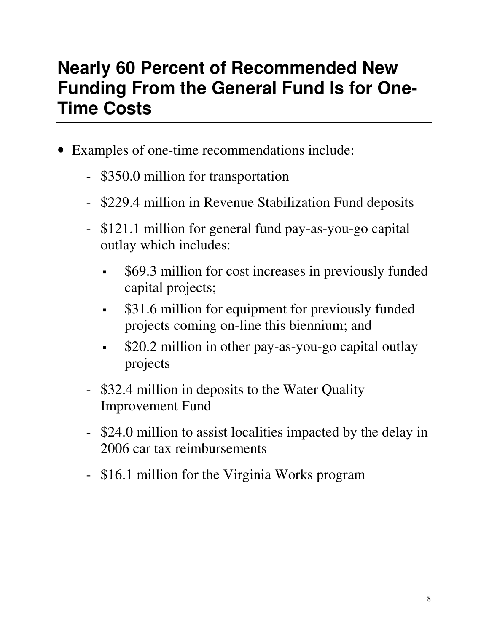### **Nearly 60 Percent of Recommended New Funding From the General Fund Is for One-Time Costs**

- Examples of one-time recommendations include:
	- \$350.0 million for transportation
	- \$229.4 million in Revenue Stabilization Fund deposits
	- \$121.1 million for general fund pay-as-you-go capital outlay which includes:
		- \$69.3 million for cost increases in previously funded capital projects;
		- **\$31.6 million for equipment for previously funded** projects coming on-line this biennium; and
		- \$20.2 million in other pay-as-you-go capital outlay projects
	- \$32.4 million in deposits to the Water Quality Improvement Fund
	- \$24.0 million to assist localities impacted by the delay in 2006 car tax reimbursements
	- \$16.1 million for the Virginia Works program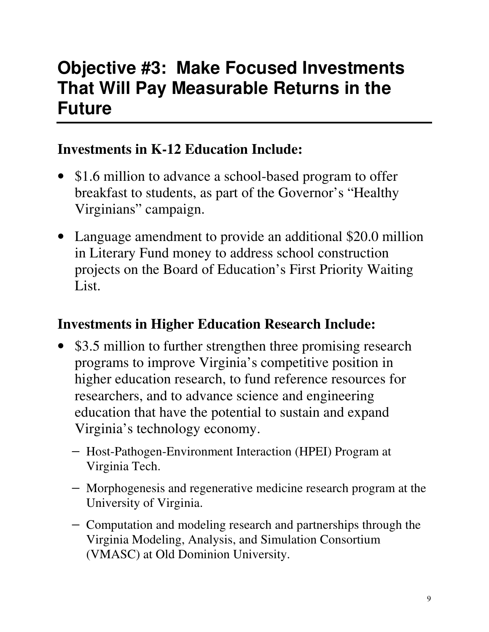### **Investments in K-12 Education Include:**

- \$1.6 million to advance a school-based program to offer breakfast to students, as part of the Governor's "Healthy Virginians" campaign.
- Language amendment to provide an additional \$20.0 million in Literary Fund money to address school construction projects on the Board of Education's First Priority Waiting List.

#### **Investments in Higher Education Research Include:**

- \$3.5 million to further strengthen three promising research programs to improve Virginia's competitive position in higher education research, to fund reference resources for researchers, and to advance science and engineering education that have the potential to sustain and expand Virginia's technology economy.
	- − Host-Pathogen-Environment Interaction (HPEI) Program at Virginia Tech.
	- − Morphogenesis and regenerative medicine research program at the University of Virginia.
	- − Computation and modeling research and partnerships through the Virginia Modeling, Analysis, and Simulation Consortium (VMASC) at Old Dominion University.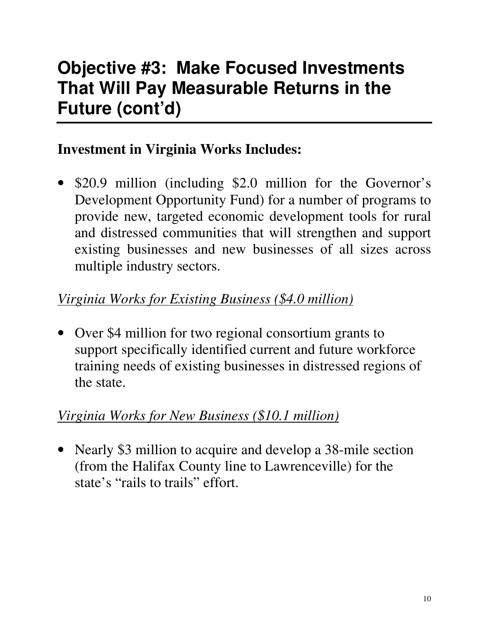#### **Investment in Virginia Works Includes:**

• \$20.9 million (including \$2.0 million for the Governor's Development Opportunity Fund) for a number of programs to provide new, targeted economic development tools for rural and distressed communities that will strengthen and support existing businesses and new businesses of all sizes across multiple industry sectors.

#### *Virginia Works for Existing Business (\$4.0 million)*

• Over \$4 million for two regional consortium grants to support specifically identified current and future workforce training needs of existing businesses in distressed regions of the state.

#### *Virginia Works for New Business (\$10.1 million)*

• Nearly \$3 million to acquire and develop a 38-mile section (from the Halifax County line to Lawrenceville) for the state's "rails to trails" effort.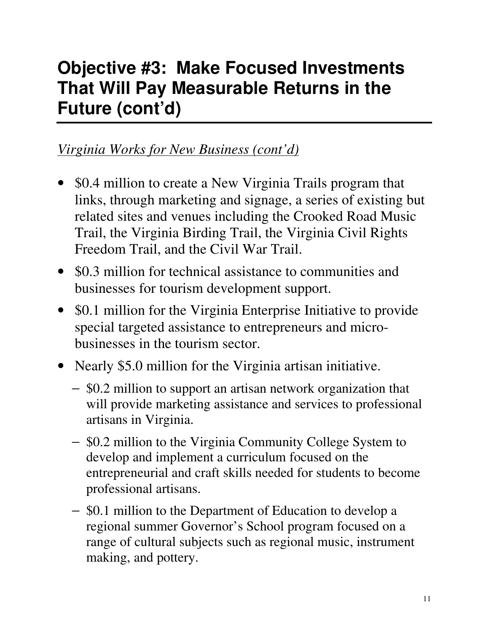### *Virginia Works for New Business (cont'd)*

- \$0.4 million to create a New Virginia Trails program that links, through marketing and signage, a series of existing but related sites and venues including the Crooked Road Music Trail, the Virginia Birding Trail, the Virginia Civil Rights Freedom Trail, and the Civil War Trail.
- \$0.3 million for technical assistance to communities and businesses for tourism development support.
- \$0.1 million for the Virginia Enterprise Initiative to provide special targeted assistance to entrepreneurs and microbusinesses in the tourism sector.
- Nearly \$5.0 million for the Virginia artisan initiative.
	- − \$0.2 million to support an artisan network organization that will provide marketing assistance and services to professional artisans in Virginia.
	- − \$0.2 million to the Virginia Community College System to develop and implement a curriculum focused on the entrepreneurial and craft skills needed for students to become professional artisans.
	- − \$0.1 million to the Department of Education to develop a regional summer Governor's School program focused on a range of cultural subjects such as regional music, instrument making, and pottery.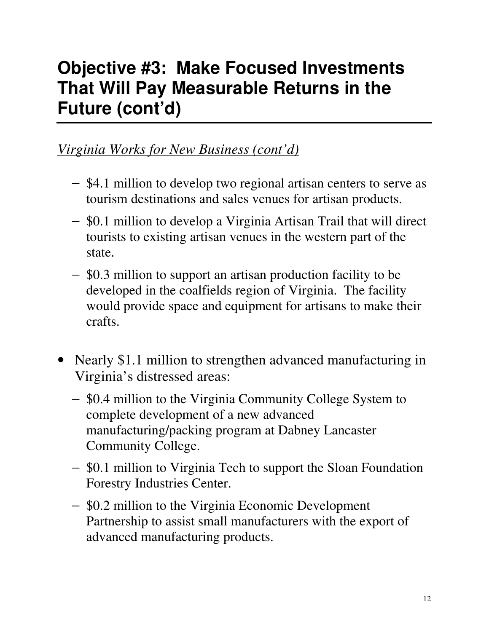#### *Virginia Works for New Business (cont'd)*

- − \$4.1 million to develop two regional artisan centers to serve as tourism destinations and sales venues for artisan products.
- − \$0.1 million to develop a Virginia Artisan Trail that will direct tourists to existing artisan venues in the western part of the state.
- − \$0.3 million to support an artisan production facility to be developed in the coalfields region of Virginia. The facility would provide space and equipment for artisans to make their crafts.
- Nearly \$1.1 million to strengthen advanced manufacturing in Virginia's distressed areas:
	- − \$0.4 million to the Virginia Community College System to complete development of a new advanced manufacturing/packing program at Dabney Lancaster Community College.
	- − \$0.1 million to Virginia Tech to support the Sloan Foundation Forestry Industries Center.
	- − \$0.2 million to the Virginia Economic Development Partnership to assist small manufacturers with the export of advanced manufacturing products.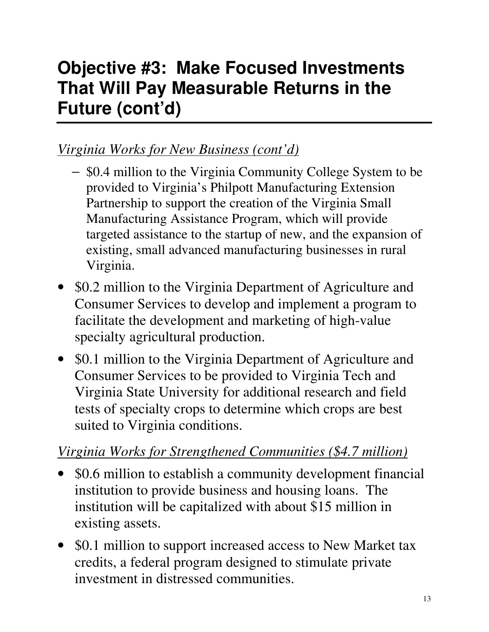### *Virginia Works for New Business (cont'd)*

- − \$0.4 million to the Virginia Community College System to be provided to Virginia's Philpott Manufacturing Extension Partnership to support the creation of the Virginia Small Manufacturing Assistance Program, which will provide targeted assistance to the startup of new, and the expansion of existing, small advanced manufacturing businesses in rural Virginia.
- \$0.2 million to the Virginia Department of Agriculture and Consumer Services to develop and implement a program to facilitate the development and marketing of high-value specialty agricultural production.
- \$0.1 million to the Virginia Department of Agriculture and Consumer Services to be provided to Virginia Tech and Virginia State University for additional research and field tests of specialty crops to determine which crops are best suited to Virginia conditions.

#### *Virginia Works for Strengthened Communities (\$4.7 million)*

- \$0.6 million to establish a community development financial institution to provide business and housing loans. The institution will be capitalized with about \$15 million in existing assets.
- \$0.1 million to support increased access to New Market tax credits, a federal program designed to stimulate private investment in distressed communities.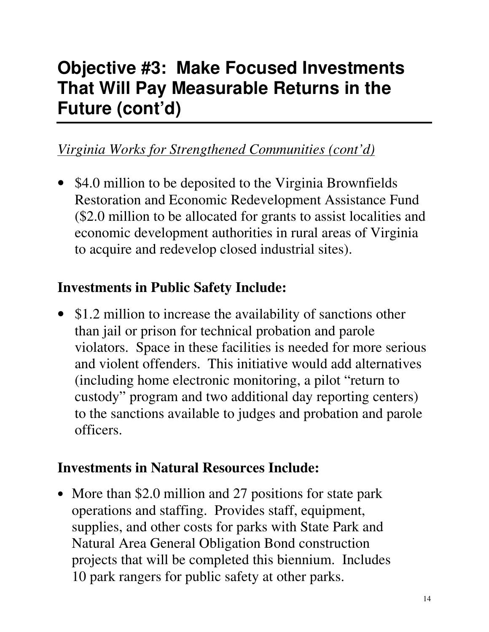### *Virginia Works for Strengthened Communities (cont'd)*

• \$4.0 million to be deposited to the Virginia Brownfields Restoration and Economic Redevelopment Assistance Fund (\$2.0 million to be allocated for grants to assist localities and economic development authorities in rural areas of Virginia to acquire and redevelop closed industrial sites).

#### **Investments in Public Safety Include:**

• \$1.2 million to increase the availability of sanctions other than jail or prison for technical probation and parole violators. Space in these facilities is needed for more serious and violent offenders. This initiative would add alternatives (including home electronic monitoring, a pilot "return to custody" program and two additional day reporting centers) to the sanctions available to judges and probation and parole officers.

#### **Investments in Natural Resources Include:**

• More than \$2.0 million and 27 positions for state park operations and staffing. Provides staff, equipment, supplies, and other costs for parks with State Park and Natural Area General Obligation Bond construction projects that will be completed this biennium. Includes 10 park rangers for public safety at other parks.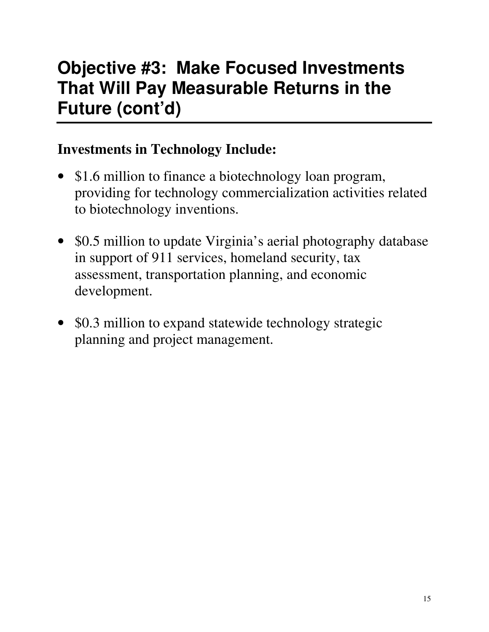#### **Investments in Technology Include:**

- \$1.6 million to finance a biotechnology loan program, providing for technology commercialization activities related to biotechnology inventions.
- \$0.5 million to update Virginia's aerial photography database in support of 911 services, homeland security, tax assessment, transportation planning, and economic development.
- \$0.3 million to expand statewide technology strategic planning and project management.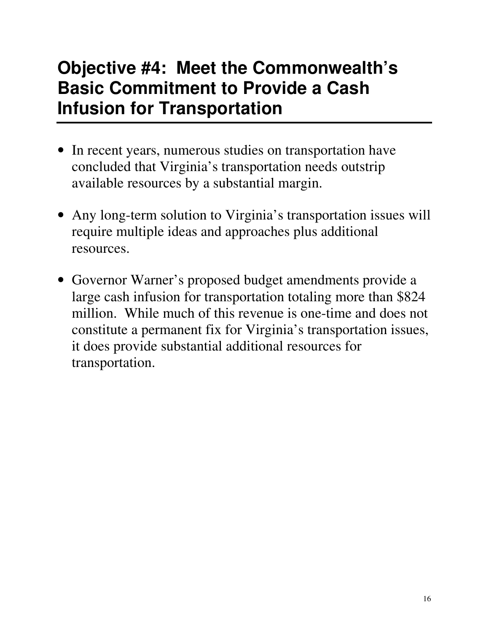### **Objective #4: Meet the Commonwealth's Basic Commitment to Provide a Cash Infusion for Transportation**

- In recent years, numerous studies on transportation have concluded that Virginia's transportation needs outstrip available resources by a substantial margin.
- Any long-term solution to Virginia's transportation issues will require multiple ideas and approaches plus additional resources.
- Governor Warner's proposed budget amendments provide a large cash infusion for transportation totaling more than \$824 million. While much of this revenue is one-time and does not constitute a permanent fix for Virginia's transportation issues, it does provide substantial additional resources for transportation.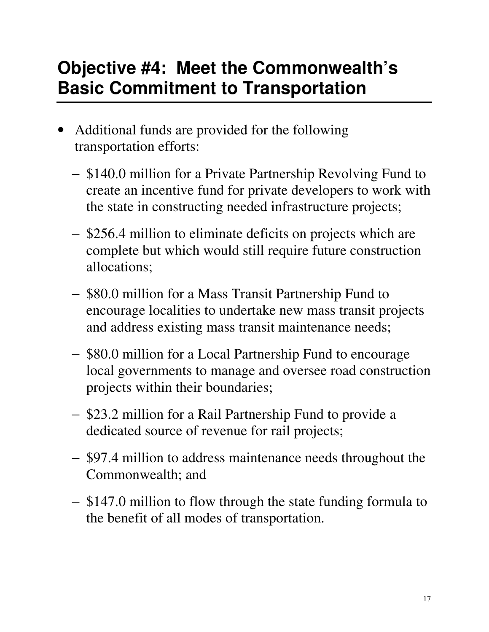# **Objective #4: Meet the Commonwealth's Basic Commitment to Transportation**

- Additional funds are provided for the following transportation efforts:
	- − \$140.0 million for a Private Partnership Revolving Fund to create an incentive fund for private developers to work with the state in constructing needed infrastructure projects;
	- − \$256.4 million to eliminate deficits on projects which are complete but which would still require future construction allocations;
	- − \$80.0 million for a Mass Transit Partnership Fund to encourage localities to undertake new mass transit projects and address existing mass transit maintenance needs;
	- − \$80.0 million for a Local Partnership Fund to encourage local governments to manage and oversee road construction projects within their boundaries;
	- − \$23.2 million for a Rail Partnership Fund to provide a dedicated source of revenue for rail projects;
	- − \$97.4 million to address maintenance needs throughout the Commonwealth; and
	- − \$147.0 million to flow through the state funding formula to the benefit of all modes of transportation.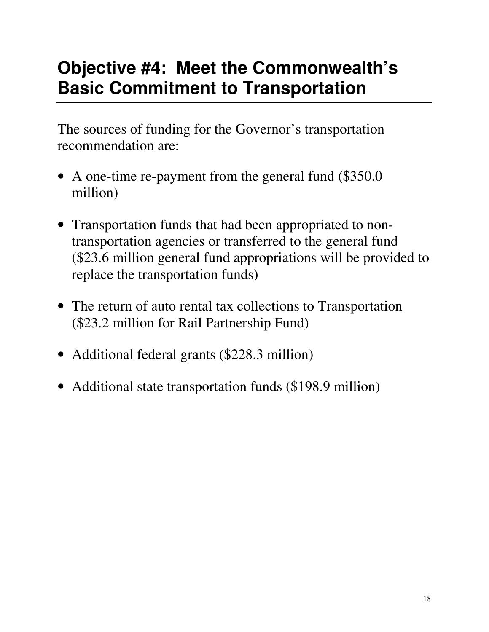# **Objective #4: Meet the Commonwealth's Basic Commitment to Transportation**

The sources of funding for the Governor's transportation recommendation are:

- A one-time re-payment from the general fund (\$350.0) million)
- Transportation funds that had been appropriated to nontransportation agencies or transferred to the general fund (\$23.6 million general fund appropriations will be provided to replace the transportation funds)
- The return of auto rental tax collections to Transportation (\$23.2 million for Rail Partnership Fund)
- Additional federal grants (\$228.3 million)
- Additional state transportation funds (\$198.9 million)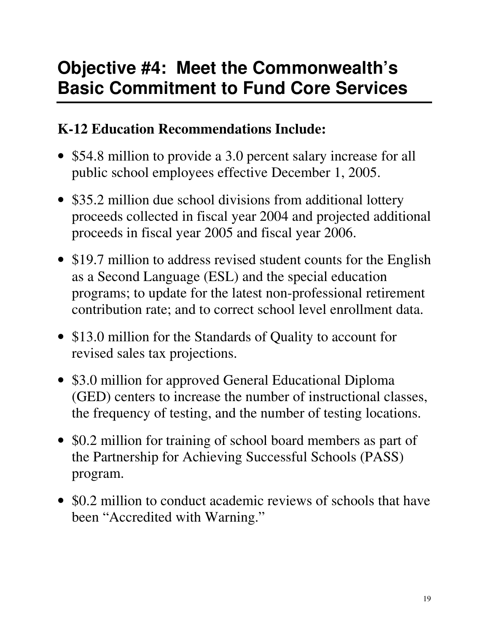### **K-12 Education Recommendations Include:**

- \$54.8 million to provide a 3.0 percent salary increase for all public school employees effective December 1, 2005.
- \$35.2 million due school divisions from additional lottery proceeds collected in fiscal year 2004 and projected additional proceeds in fiscal year 2005 and fiscal year 2006.
- \$19.7 million to address revised student counts for the English as a Second Language (ESL) and the special education programs; to update for the latest non-professional retirement contribution rate; and to correct school level enrollment data.
- \$13.0 million for the Standards of Quality to account for revised sales tax projections.
- \$3.0 million for approved General Educational Diploma (GED) centers to increase the number of instructional classes, the frequency of testing, and the number of testing locations.
- \$0.2 million for training of school board members as part of the Partnership for Achieving Successful Schools (PASS) program.
- \$0.2 million to conduct academic reviews of schools that have been "Accredited with Warning."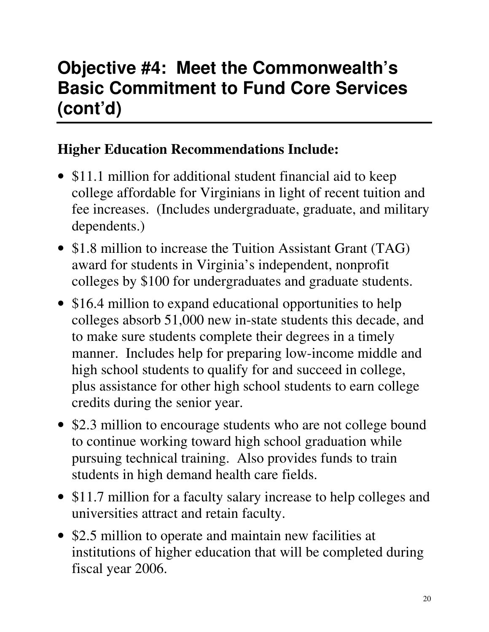### **Higher Education Recommendations Include:**

- \$11.1 million for additional student financial aid to keep college affordable for Virginians in light of recent tuition and fee increases. (Includes undergraduate, graduate, and military dependents.)
- \$1.8 million to increase the Tuition Assistant Grant (TAG) award for students in Virginia's independent, nonprofit colleges by \$100 for undergraduates and graduate students.
- \$16.4 million to expand educational opportunities to help colleges absorb 51,000 new in-state students this decade, and to make sure students complete their degrees in a timely manner. Includes help for preparing low-income middle and high school students to qualify for and succeed in college, plus assistance for other high school students to earn college credits during the senior year.
- \$2.3 million to encourage students who are not college bound to continue working toward high school graduation while pursuing technical training. Also provides funds to train students in high demand health care fields.
- \$11.7 million for a faculty salary increase to help colleges and universities attract and retain faculty.
- \$2.5 million to operate and maintain new facilities at institutions of higher education that will be completed during fiscal year 2006.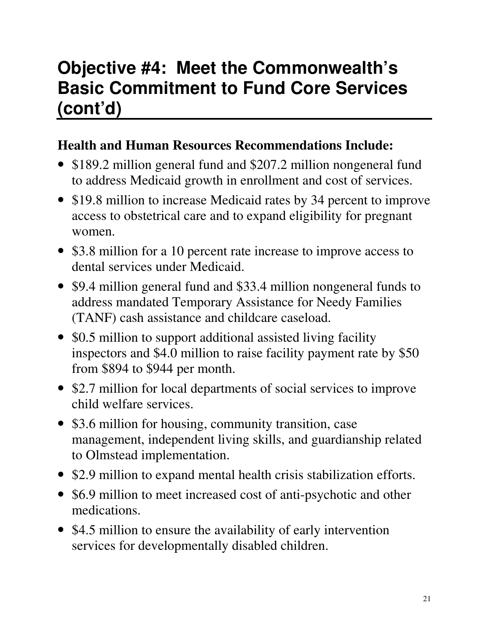#### **Health and Human Resources Recommendations Include:**

- \$189.2 million general fund and \$207.2 million nongeneral fund to address Medicaid growth in enrollment and cost of services.
- \$19.8 million to increase Medicaid rates by 34 percent to improve access to obstetrical care and to expand eligibility for pregnant women.
- \$3.8 million for a 10 percent rate increase to improve access to dental services under Medicaid.
- \$9.4 million general fund and \$33.4 million nongeneral funds to address mandated Temporary Assistance for Needy Families (TANF) cash assistance and childcare caseload.
- \$0.5 million to support additional assisted living facility inspectors and \$4.0 million to raise facility payment rate by \$50 from \$894 to \$944 per month.
- \$2.7 million for local departments of social services to improve child welfare services.
- \$3.6 million for housing, community transition, case management, independent living skills, and guardianship related to Olmstead implementation.
- \$2.9 million to expand mental health crisis stabilization efforts.
- \$6.9 million to meet increased cost of anti-psychotic and other medications.
- \$4.5 million to ensure the availability of early intervention services for developmentally disabled children.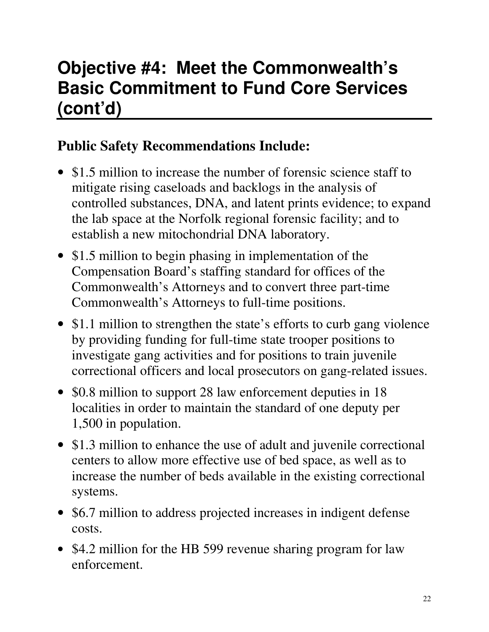### **Public Safety Recommendations Include:**

- \$1.5 million to increase the number of forensic science staff to mitigate rising caseloads and backlogs in the analysis of controlled substances, DNA, and latent prints evidence; to expand the lab space at the Norfolk regional forensic facility; and to establish a new mitochondrial DNA laboratory.
- \$1.5 million to begin phasing in implementation of the Compensation Board's staffing standard for offices of the Commonwealth's Attorneys and to convert three part-time Commonwealth's Attorneys to full-time positions.
- \$1.1 million to strengthen the state's efforts to curb gang violence by providing funding for full-time state trooper positions to investigate gang activities and for positions to train juvenile correctional officers and local prosecutors on gang-related issues.
- \$0.8 million to support 28 law enforcement deputies in 18 localities in order to maintain the standard of one deputy per 1,500 in population.
- \$1.3 million to enhance the use of adult and juvenile correctional centers to allow more effective use of bed space, as well as to increase the number of beds available in the existing correctional systems.
- \$6.7 million to address projected increases in indigent defense costs.
- \$4.2 million for the HB 599 revenue sharing program for law enforcement.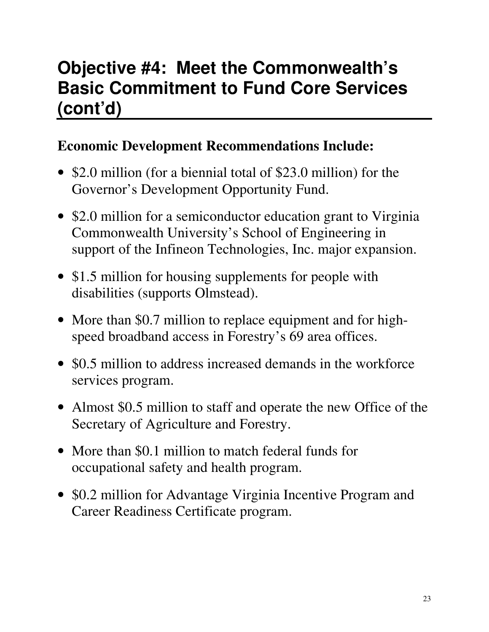### **Economic Development Recommendations Include:**

- \$2.0 million (for a biennial total of \$23.0 million) for the Governor's Development Opportunity Fund.
- \$2.0 million for a semiconductor education grant to Virginia Commonwealth University's School of Engineering in support of the Infineon Technologies, Inc. major expansion.
- \$1.5 million for housing supplements for people with disabilities (supports Olmstead).
- More than \$0.7 million to replace equipment and for highspeed broadband access in Forestry's 69 area offices.
- \$0.5 million to address increased demands in the workforce services program.
- Almost \$0.5 million to staff and operate the new Office of the Secretary of Agriculture and Forestry.
- More than \$0.1 million to match federal funds for occupational safety and health program.
- \$0.2 million for Advantage Virginia Incentive Program and Career Readiness Certificate program.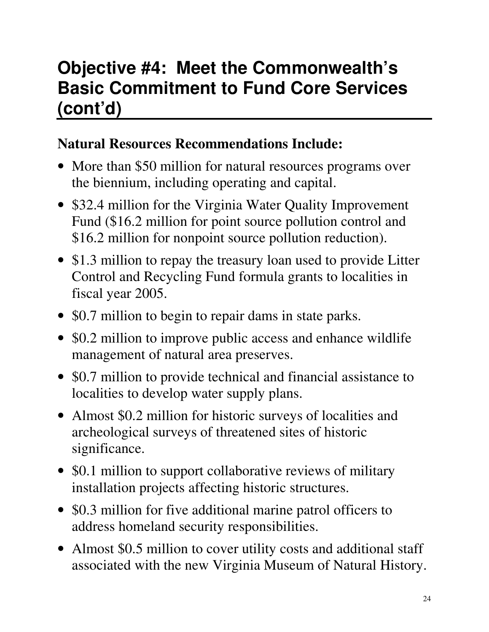### **Natural Resources Recommendations Include:**

- More than \$50 million for natural resources programs over the biennium, including operating and capital.
- \$32.4 million for the Virginia Water Quality Improvement Fund (\$16.2 million for point source pollution control and \$16.2 million for nonpoint source pollution reduction).
- \$1.3 million to repay the treasury loan used to provide Litter Control and Recycling Fund formula grants to localities in fiscal year 2005.
- \$0.7 million to begin to repair dams in state parks.
- \$0.2 million to improve public access and enhance wildlife management of natural area preserves.
- \$0.7 million to provide technical and financial assistance to localities to develop water supply plans.
- Almost \$0.2 million for historic surveys of localities and archeological surveys of threatened sites of historic significance.
- \$0.1 million to support collaborative reviews of military installation projects affecting historic structures.
- \$0.3 million for five additional marine patrol officers to address homeland security responsibilities.
- Almost \$0.5 million to cover utility costs and additional staff associated with the new Virginia Museum of Natural History.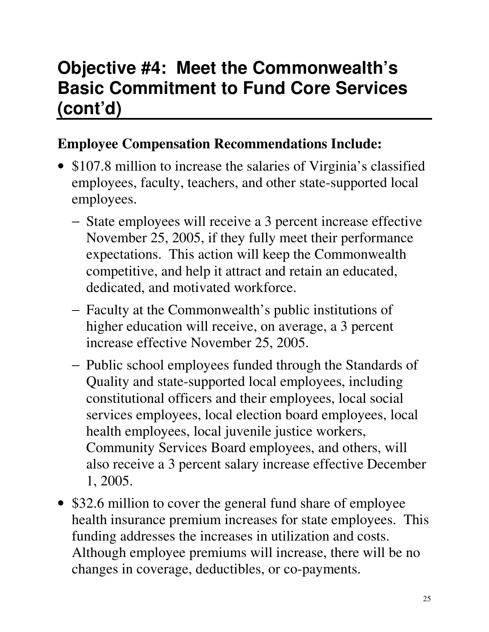### **Employee Compensation Recommendations Include:**

- \$107.8 million to increase the salaries of Virginia's classified employees, faculty, teachers, and other state-supported local employees.
	- − State employees will receive a 3 percent increase effective November 25, 2005, if they fully meet their performance expectations. This action will keep the Commonwealth competitive, and help it attract and retain an educated, dedicated, and motivated workforce.
	- − Faculty at the Commonwealth's public institutions of higher education will receive, on average, a 3 percent increase effective November 25, 2005.
	- − Public school employees funded through the Standards of Quality and state-supported local employees, including constitutional officers and their employees, local social services employees, local election board employees, local health employees, local juvenile justice workers, Community Services Board employees, and others, will also receive a 3 percent salary increase effective December 1, 2005.
- \$32.6 million to cover the general fund share of employee health insurance premium increases for state employees. This funding addresses the increases in utilization and costs. Although employee premiums will increase, there will be no changes in coverage, deductibles, or co-payments.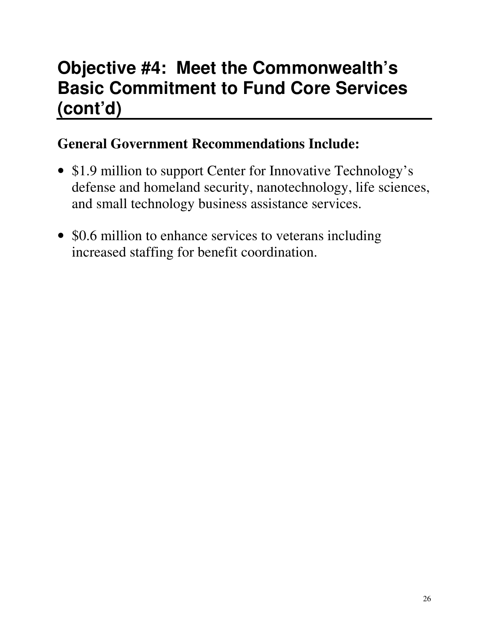### **General Government Recommendations Include:**

- \$1.9 million to support Center for Innovative Technology's defense and homeland security, nanotechnology, life sciences, and small technology business assistance services.
- \$0.6 million to enhance services to veterans including increased staffing for benefit coordination.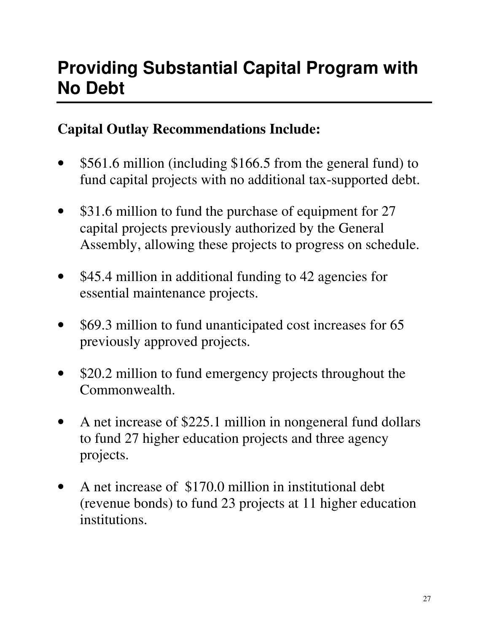# **Providing Substantial Capital Program with No Debt**

### **Capital Outlay Recommendations Include:**

- \$561.6 million (including \$166.5 from the general fund) to fund capital projects with no additional tax-supported debt.
- \$31.6 million to fund the purchase of equipment for 27 capital projects previously authorized by the General Assembly, allowing these projects to progress on schedule.
- \$45.4 million in additional funding to 42 agencies for essential maintenance projects.
- \$69.3 million to fund unanticipated cost increases for 65 previously approved projects.
- \$20.2 million to fund emergency projects throughout the Commonwealth.
- A net increase of \$225.1 million in nongeneral fund dollars to fund 27 higher education projects and three agency projects.
- A net increase of \$170.0 million in institutional debt (revenue bonds) to fund 23 projects at 11 higher education institutions.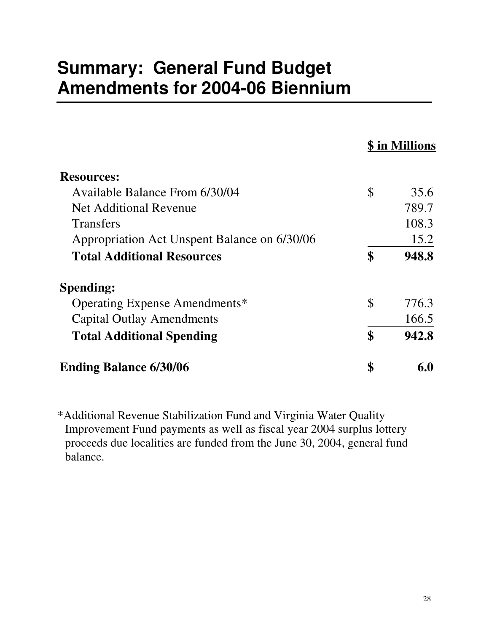### **Summary: General Fund Budget Amendments for 2004-06 Biennium**

| <b>Resources:</b>                            |              |       |
|----------------------------------------------|--------------|-------|
| Available Balance From 6/30/04               | $\mathbb{S}$ | 35.6  |
| <b>Net Additional Revenue</b>                |              | 789.7 |
| <b>Transfers</b>                             |              | 108.3 |
| Appropriation Act Unspent Balance on 6/30/06 |              | 15.2  |
| <b>Total Additional Resources</b>            | \$           | 948.8 |
| <b>Spending:</b>                             |              |       |
| Operating Expense Amendments*                | \$           | 776.3 |
| <b>Capital Outlay Amendments</b>             |              | 166.5 |
| <b>Total Additional Spending</b>             | \$           | 942.8 |
| <b>Ending Balance 6/30/06</b>                | \$           | 6.0   |

\*Additional Revenue Stabilization Fund and Virginia Water Quality Improvement Fund payments as well as fiscal year 2004 surplus lottery proceeds due localities are funded from the June 30, 2004, general fund balance.

**\$ in Millions**